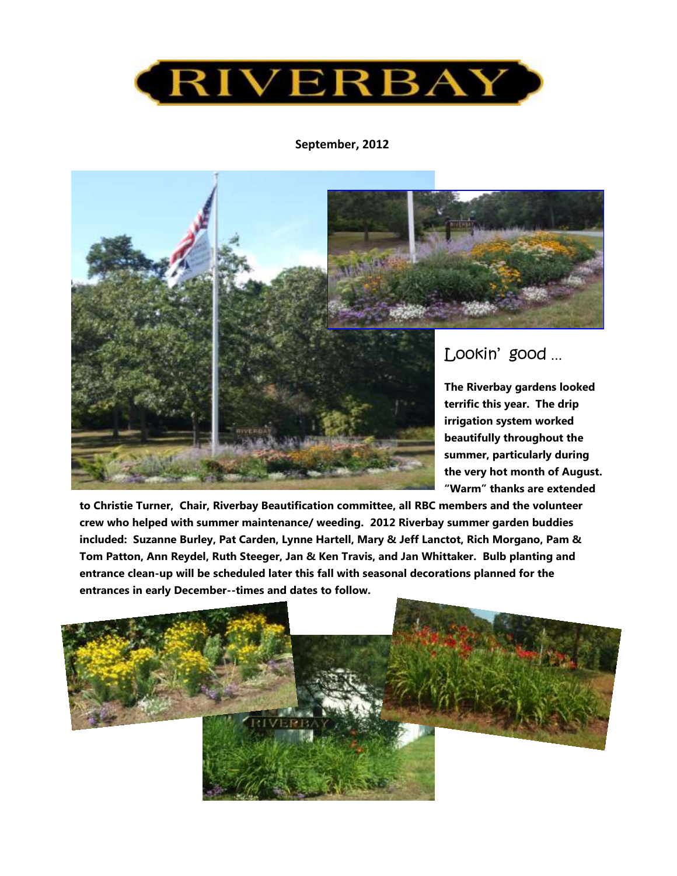

#### **September, 2012**



Lookin' good …

**The Riverbay gardens looked terrific this year. The drip irrigation system worked beautifully throughout the summer, particularly during the very hot month of August. "Warm" thanks are extended** 

**to Christie Turner, Chair, Riverbay Beautification committee, all RBC members and the volunteer crew who helped with summer maintenance/ weeding. 2012 Riverbay summer garden buddies included: Suzanne Burley, Pat Carden, Lynne Hartell, Mary & Jeff Lanctot, Rich Morgano, Pam & Tom Patton, Ann Reydel, Ruth Steeger, Jan & Ken Travis, and Jan Whittaker. Bulb planting and entrance clean-up will be scheduled later this fall with seasonal decorations planned for the entrances in early December--times and dates to follow.** 

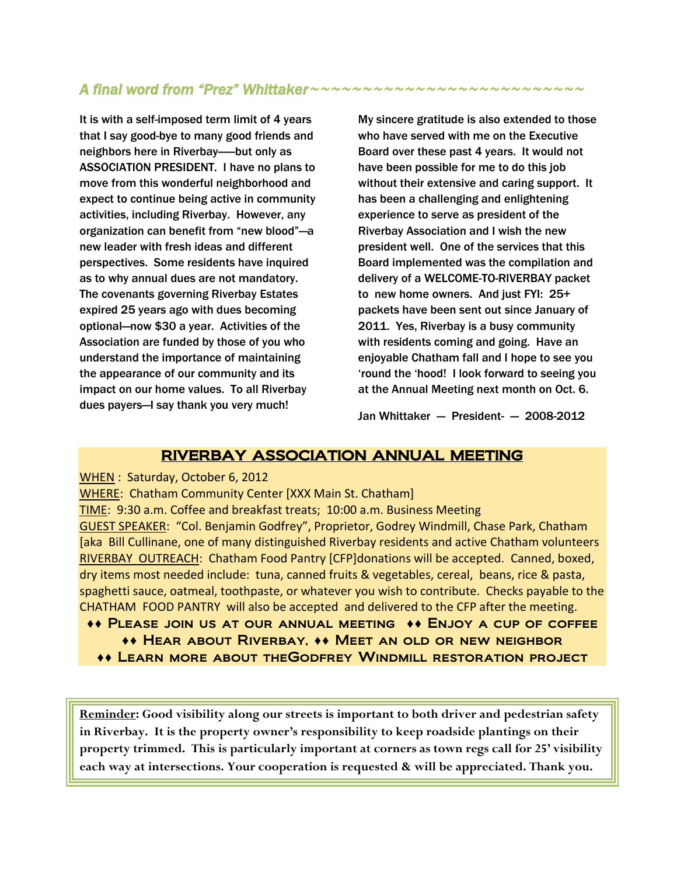# *A final word from "Prez" Whittaker~~~~~~~~~~~~~~~~~~~~~~~~~~*

It is with a self-imposed term limit of 4 years that I say good-bye to many good friends and neighbors here in Riverbay—-but only as ASSOCIATION PRESIDENT. I have no plans to move from this wonderful neighborhood and expect to continue being active in community activities, including Riverbay. However, any organization can benefit from "new blood"—a new leader with fresh ideas and different perspectives. Some residents have inquired as to why annual dues are not mandatory. The covenants governing Riverbay Estates expired 25 years ago with dues becoming optional—now \$30 a year. Activities of the Association are funded by those of you who understand the importance of maintaining the appearance of our community and its impact on our home values. To all Riverbay dues payers—I say thank you very much!

My sincere gratitude is also extended to those who have served with me on the Executive Board over these past 4 years. It would not have been possible for me to do this job without their extensive and caring support. It has been a challenging and enlightening experience to serve as president of the Riverbay Association and I wish the new president well. One of the services that this Board implemented was the compilation and delivery of a WELCOME-TO-RIVERBAY packet to new home owners. And just FYI: 25+ packets have been sent out since January of 2011. Yes, Riverbay is a busy community with residents coming and going. Have an enjoyable Chatham fall and I hope to see you 'round the 'hood! I look forward to seeing you at the Annual Meeting next month on Oct. 6.

Jan Whittaker  $-$  President-  $-$  2008-2012

## RIVERBAY ASSOCIATION ANNUAL MEETING

WHEN : Saturday, October 6, 2012

WHERE: Chatham Community Center [XXX Main St. Chatham]

TIME: 9:30 a.m. Coffee and breakfast treats; 10:00 a.m. Business Meeting GUEST SPEAKER: "Col. Benjamin Godfrey", Proprietor, Godrey Windmill, Chase Park, Chatham [aka Bill Cullinane, one of many distinguished Riverbay residents and active Chatham volunteers RIVERBAY OUTREACH: Chatham Food Pantry [CFP]donations will be accepted. Canned, boxed, dry items most needed include: tuna, canned fruits & vegetables, cereal, beans, rice & pasta, spaghetti sauce, oatmeal, toothpaste, or whatever you wish to contribute. Checks payable to the CHATHAM FOOD PANTRY will also be accepted and delivered to the CFP after the meeting.

- ♦♦ Please join us at our annual meeting ♦♦ Enjoy a cup of coffee ♦♦ Hear about Riverbay, ♦♦ Meet an old or new neighbor
	- ♦♦ Learn more about theGodfrey Windmill restoration project

**Reminder: Good visibility along our streets is important to both driver and pedestrian safety in Riverbay. It is the property owner's responsibility to keep roadside plantings on their property trimmed. This is particularly important at corners as town regs call for 25' visibility each way at intersections. Your cooperation is requested & will be appreciated. Thank you.**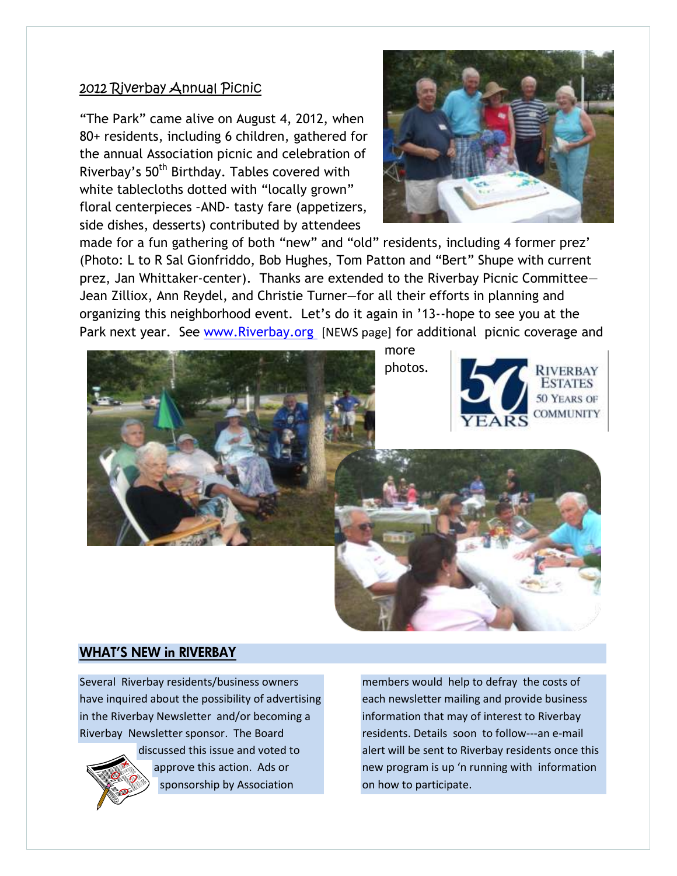## 2012 Riverbay Annual Picnic

"The Park" came alive on August 4, 2012, when 80+ residents, including 6 children, gathered for the annual Association picnic and celebration of Riverbay's 50<sup>th</sup> Birthday. Tables covered with white tablecloths dotted with "locally grown" floral centerpieces –AND- tasty fare (appetizers, side dishes, desserts) contributed by attendees



made for a fun gathering of both "new" and "old" residents, including 4 former prez' (Photo: L to R Sal Gionfriddo, Bob Hughes, Tom Patton and "Bert" Shupe with current prez, Jan Whittaker-center). Thanks are extended to the Riverbay Picnic Committee— Jean Zilliox, Ann Reydel, and Christie Turner—for all their efforts in planning and organizing this neighborhood event. Let's do it again in '13--hope to see you at the Park next year. See www.Riverbay.org [NEWS page] for additional picnic coverage and



## WHAT'S NEW in RIVERBAY

Several Riverbay residents/business owners have inquired about the possibility of advertising in the Riverbay Newsletter and/or becoming a Riverbay Newsletter sponsor. The Board



discussed this issue and voted to approve this action. Ads or sponsorship by Association

members would help to defray the costs of each newsletter mailing and provide business information that may of interest to Riverbay residents. Details soon to follow---an e-mail alert will be sent to Riverbay residents once this new program is up 'n running with information on how to participate.